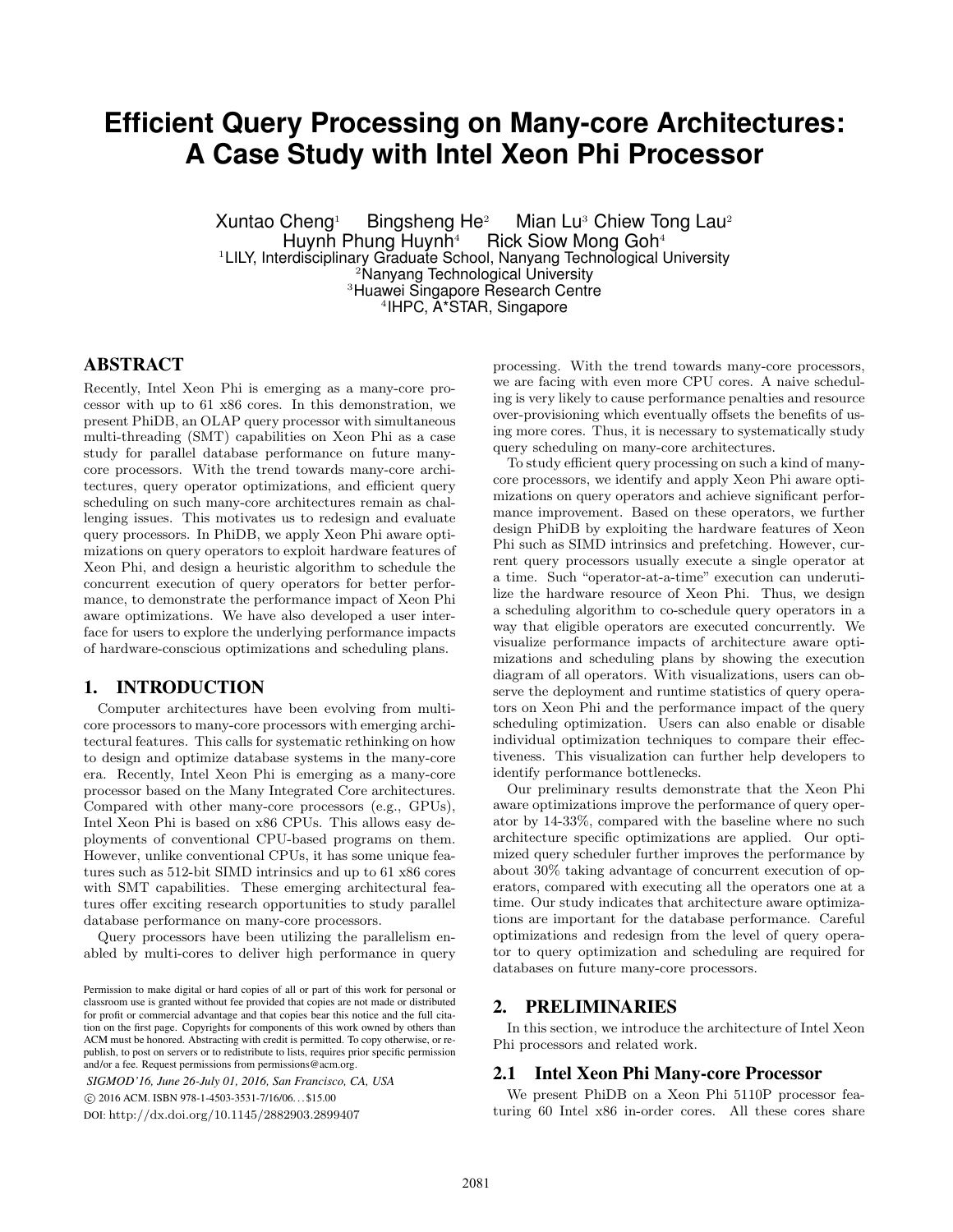# **Efficient Query Processing on Many-core Architectures: A Case Study with Intel Xeon Phi Processor**

Xuntao Cheng<sup>1</sup> Bingsheng He<sup>2</sup> Mian Lu<sup>3</sup> Chiew Tong Lau<sup>2</sup> Huynh Phung Huynh<sup>4</sup> Rick Siow Mong Goh<sup>4</sup> <sup>1</sup>LILY, Interdisciplinary Graduate School, Nanyang Technological University <sup>2</sup>Nanyang Technological University <sup>3</sup>Huawei Singapore Research Centre 4 IHPC, A\*STAR, Singapore

#### ABSTRACT

Recently, Intel Xeon Phi is emerging as a many-core processor with up to 61 x86 cores. In this demonstration, we present PhiDB, an OLAP query processor with simultaneous multi-threading (SMT) capabilities on Xeon Phi as a case study for parallel database performance on future manycore processors. With the trend towards many-core architectures, query operator optimizations, and efficient query scheduling on such many-core architectures remain as challenging issues. This motivates us to redesign and evaluate query processors. In PhiDB, we apply Xeon Phi aware optimizations on query operators to exploit hardware features of Xeon Phi, and design a heuristic algorithm to schedule the concurrent execution of query operators for better performance, to demonstrate the performance impact of Xeon Phi aware optimizations. We have also developed a user interface for users to explore the underlying performance impacts of hardware-conscious optimizations and scheduling plans.

## 1. INTRODUCTION

Computer architectures have been evolving from multicore processors to many-core processors with emerging architectural features. This calls for systematic rethinking on how to design and optimize database systems in the many-core era. Recently, Intel Xeon Phi is emerging as a many-core processor based on the Many Integrated Core architectures. Compared with other many-core processors (e.g., GPUs), Intel Xeon Phi is based on x86 CPUs. This allows easy deployments of conventional CPU-based programs on them. However, unlike conventional CPUs, it has some unique features such as 512-bit SIMD intrinsics and up to 61 x86 cores with SMT capabilities. These emerging architectural features offer exciting research opportunities to study parallel database performance on many-core processors.

Query processors have been utilizing the parallelism enabled by multi-cores to deliver high performance in query

*SIGMOD'16, June 26-July 01, 2016, San Francisco, CA, USA* c 2016 ACM. ISBN 978-1-4503-3531-7/16/06. . . \$15.00 DOI: http://dx.doi.org/10.1145/2882903.2899407

processing. With the trend towards many-core processors, we are facing with even more CPU cores. A naive scheduling is very likely to cause performance penalties and resource over-provisioning which eventually offsets the benefits of using more cores. Thus, it is necessary to systematically study query scheduling on many-core architectures.

To study efficient query processing on such a kind of manycore processors, we identify and apply Xeon Phi aware optimizations on query operators and achieve significant performance improvement. Based on these operators, we further design PhiDB by exploiting the hardware features of Xeon Phi such as SIMD intrinsics and prefetching. However, current query processors usually execute a single operator at a time. Such "operator-at-a-time" execution can underutilize the hardware resource of Xeon Phi. Thus, we design a scheduling algorithm to co-schedule query operators in a way that eligible operators are executed concurrently. We visualize performance impacts of architecture aware optimizations and scheduling plans by showing the execution diagram of all operators. With visualizations, users can observe the deployment and runtime statistics of query operators on Xeon Phi and the performance impact of the query scheduling optimization. Users can also enable or disable individual optimization techniques to compare their effectiveness. This visualization can further help developers to identify performance bottlenecks.

Our preliminary results demonstrate that the Xeon Phi aware optimizations improve the performance of query operator by 14-33%, compared with the baseline where no such architecture specific optimizations are applied. Our optimized query scheduler further improves the performance by about 30% taking advantage of concurrent execution of operators, compared with executing all the operators one at a time. Our study indicates that architecture aware optimizations are important for the database performance. Careful optimizations and redesign from the level of query operator to query optimization and scheduling are required for databases on future many-core processors.

#### 2. PRELIMINARIES

In this section, we introduce the architecture of Intel Xeon Phi processors and related work.

#### 2.1 Intel Xeon Phi Many-core Processor

We present PhiDB on a Xeon Phi 5110P processor featuring 60 Intel x86 in-order cores. All these cores share

Permission to make digital or hard copies of all or part of this work for personal or classroom use is granted without fee provided that copies are not made or distributed for profit or commercial advantage and that copies bear this notice and the full citation on the first page. Copyrights for components of this work owned by others than ACM must be honored. Abstracting with credit is permitted. To copy otherwise, or republish, to post on servers or to redistribute to lists, requires prior specific permission and/or a fee. Request permissions from permissions@acm.org.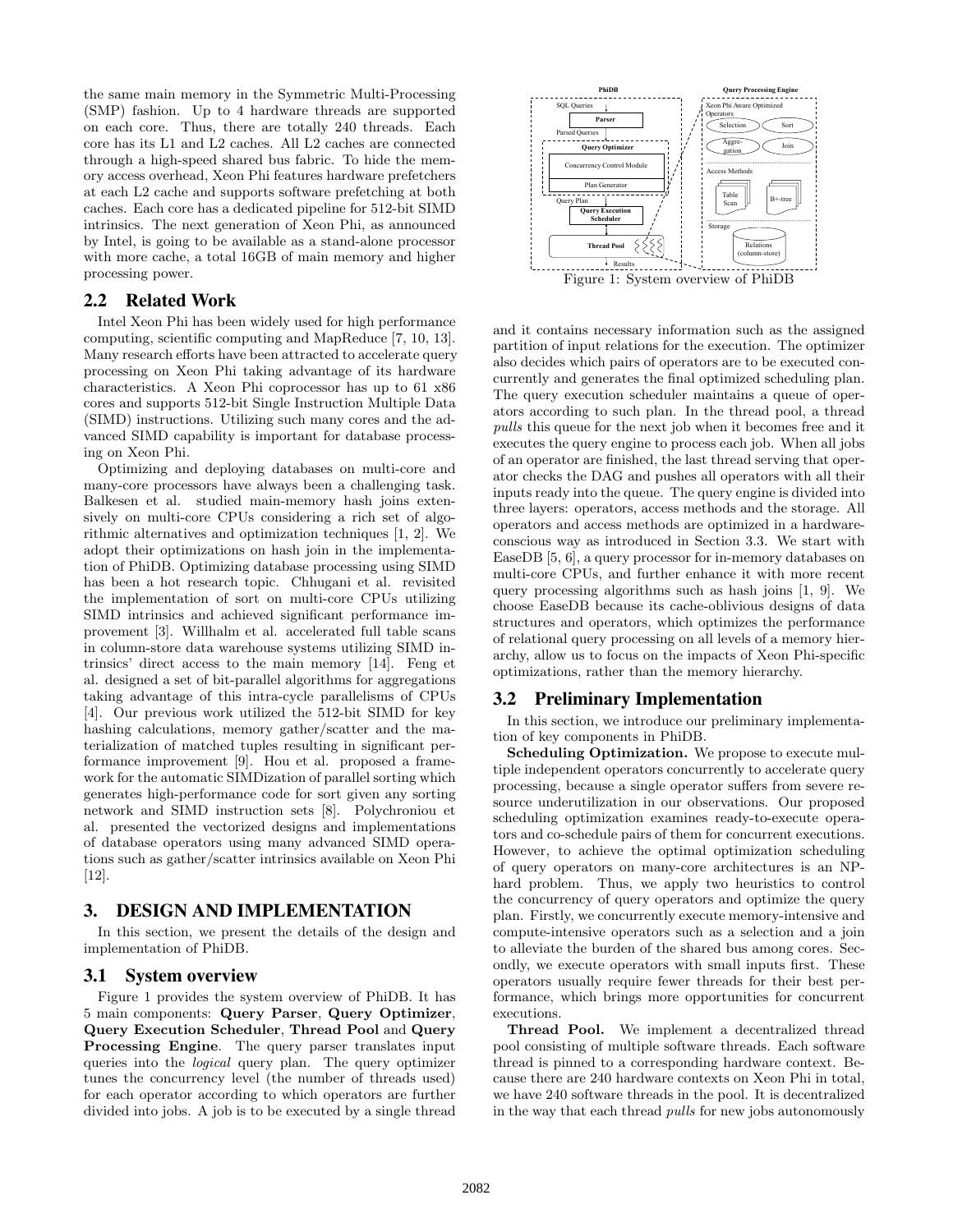the same main memory in the Symmetric Multi-Processing (SMP) fashion. Up to 4 hardware threads are supported on each core. Thus, there are totally 240 threads. Each core has its L1 and L2 caches. All L2 caches are connected through a high-speed shared bus fabric. To hide the memory access overhead, Xeon Phi features hardware prefetchers at each L2 cache and supports software prefetching at both caches. Each core has a dedicated pipeline for 512-bit SIMD intrinsics. The next generation of Xeon Phi, as announced by Intel, is going to be available as a stand-alone processor with more cache, a total 16GB of main memory and higher processing power.

## 2.2 Related Work

Intel Xeon Phi has been widely used for high performance computing, scientific computing and MapReduce [7, 10, 13]. Many research efforts have been attracted to accelerate query processing on Xeon Phi taking advantage of its hardware characteristics. A Xeon Phi coprocessor has up to 61 x86 cores and supports 512-bit Single Instruction Multiple Data (SIMD) instructions. Utilizing such many cores and the advanced SIMD capability is important for database processing on Xeon Phi.

Optimizing and deploying databases on multi-core and many-core processors have always been a challenging task. Balkesen et al. studied main-memory hash joins extensively on multi-core CPUs considering a rich set of algorithmic alternatives and optimization techniques [1, 2]. We adopt their optimizations on hash join in the implementation of PhiDB. Optimizing database processing using SIMD has been a hot research topic. Chhugani et al. revisited the implementation of sort on multi-core CPUs utilizing SIMD intrinsics and achieved significant performance improvement [3]. Willhalm et al. accelerated full table scans in column-store data warehouse systems utilizing SIMD intrinsics' direct access to the main memory [14]. Feng et al. designed a set of bit-parallel algorithms for aggregations taking advantage of this intra-cycle parallelisms of CPUs [4]. Our previous work utilized the 512-bit SIMD for key hashing calculations, memory gather/scatter and the materialization of matched tuples resulting in significant performance improvement [9]. Hou et al. proposed a framework for the automatic SIMDization of parallel sorting which generates high-performance code for sort given any sorting network and SIMD instruction sets [8]. Polychroniou et al. presented the vectorized designs and implementations of database operators using many advanced SIMD operations such as gather/scatter intrinsics available on Xeon Phi [12].

## 3. DESIGN AND IMPLEMENTATION

In this section, we present the details of the design and implementation of PhiDB.

#### 3.1 System overview

Figure 1 provides the system overview of PhiDB. It has 5 main components: Query Parser, Query Optimizer, Query Execution Scheduler, Thread Pool and Query Processing Engine. The query parser translates input queries into the logical query plan. The query optimizer tunes the concurrency level (the number of threads used) for each operator according to which operators are further divided into jobs. A job is to be executed by a single thread



and it contains necessary information such as the assigned partition of input relations for the execution. The optimizer also decides which pairs of operators are to be executed concurrently and generates the final optimized scheduling plan. The query execution scheduler maintains a queue of operators according to such plan. In the thread pool, a thread pulls this queue for the next job when it becomes free and it executes the query engine to process each job. When all jobs of an operator are finished, the last thread serving that operator checks the DAG and pushes all operators with all their inputs ready into the queue. The query engine is divided into three layers: operators, access methods and the storage. All operators and access methods are optimized in a hardwareconscious way as introduced in Section 3.3. We start with EaseDB [5, 6], a query processor for in-memory databases on multi-core CPUs, and further enhance it with more recent query processing algorithms such as hash joins [1, 9]. We choose EaseDB because its cache-oblivious designs of data structures and operators, which optimizes the performance of relational query processing on all levels of a memory hierarchy, allow us to focus on the impacts of Xeon Phi-specific optimizations, rather than the memory hierarchy.

#### 3.2 Preliminary Implementation

In this section, we introduce our preliminary implementation of key components in PhiDB.

Scheduling Optimization. We propose to execute multiple independent operators concurrently to accelerate query processing, because a single operator suffers from severe resource underutilization in our observations. Our proposed scheduling optimization examines ready-to-execute operators and co-schedule pairs of them for concurrent executions. However, to achieve the optimal optimization scheduling of query operators on many-core architectures is an NPhard problem. Thus, we apply two heuristics to control the concurrency of query operators and optimize the query plan. Firstly, we concurrently execute memory-intensive and compute-intensive operators such as a selection and a join to alleviate the burden of the shared bus among cores. Secondly, we execute operators with small inputs first. These operators usually require fewer threads for their best performance, which brings more opportunities for concurrent executions.

Thread Pool. We implement a decentralized thread pool consisting of multiple software threads. Each software thread is pinned to a corresponding hardware context. Because there are 240 hardware contexts on Xeon Phi in total, we have 240 software threads in the pool. It is decentralized in the way that each thread pulls for new jobs autonomously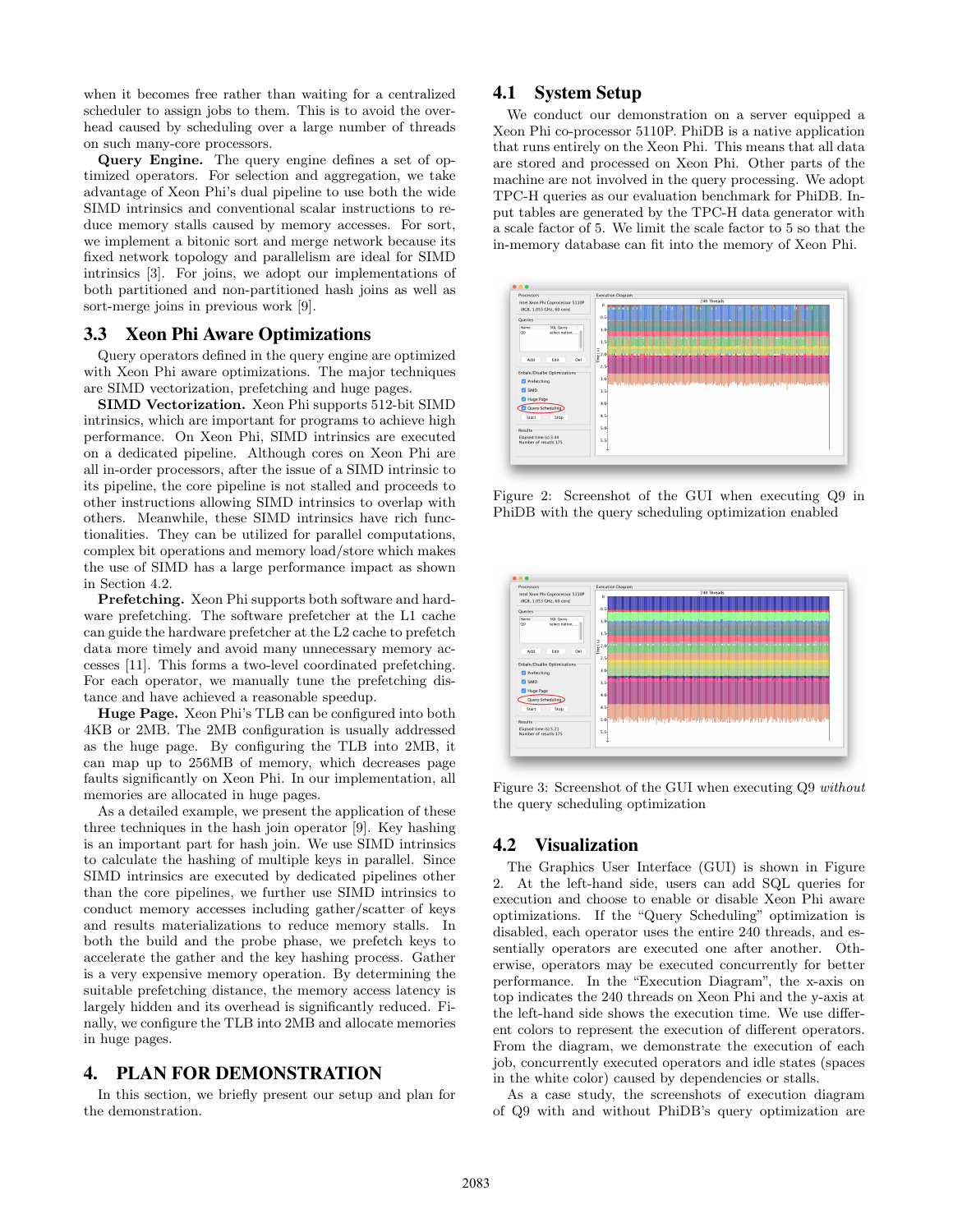when it becomes free rather than waiting for a centralized scheduler to assign jobs to them. This is to avoid the overhead caused by scheduling over a large number of threads on such many-core processors.

Query Engine. The query engine defines a set of optimized operators. For selection and aggregation, we take advantage of Xeon Phi's dual pipeline to use both the wide SIMD intrinsics and conventional scalar instructions to reduce memory stalls caused by memory accesses. For sort, we implement a bitonic sort and merge network because its fixed network topology and parallelism are ideal for SIMD intrinsics [3]. For joins, we adopt our implementations of both partitioned and non-partitioned hash joins as well as sort-merge joins in previous work [9].

## 3.3 Xeon Phi Aware Optimizations

Query operators defined in the query engine are optimized with Xeon Phi aware optimizations. The major techniques are SIMD vectorization, prefetching and huge pages.

SIMD Vectorization. Xeon Phi supports 512-bit SIMD intrinsics, which are important for programs to achieve high performance. On Xeon Phi, SIMD intrinsics are executed on a dedicated pipeline. Although cores on Xeon Phi are all in-order processors, after the issue of a SIMD intrinsic to its pipeline, the core pipeline is not stalled and proceeds to other instructions allowing SIMD intrinsics to overlap with others. Meanwhile, these SIMD intrinsics have rich functionalities. They can be utilized for parallel computations, complex bit operations and memory load/store which makes the use of SIMD has a large performance impact as shown in Section 4.2.

Prefetching. Xeon Phi supports both software and hardware prefetching. The software prefetcher at the L1 cache can guide the hardware prefetcher at the L2 cache to prefetch data more timely and avoid many unnecessary memory accesses [11]. This forms a two-level coordinated prefetching. For each operator, we manually tune the prefetching distance and have achieved a reasonable speedup.

Huge Page. Xeon Phi's TLB can be configured into both 4KB or 2MB. The 2MB configuration is usually addressed as the huge page. By configuring the TLB into 2MB, it can map up to 256MB of memory, which decreases page faults significantly on Xeon Phi. In our implementation, all memories are allocated in huge pages.

As a detailed example, we present the application of these three techniques in the hash join operator [9]. Key hashing is an important part for hash join. We use SIMD intrinsics to calculate the hashing of multiple keys in parallel. Since SIMD intrinsics are executed by dedicated pipelines other than the core pipelines, we further use SIMD intrinsics to conduct memory accesses including gather/scatter of keys and results materializations to reduce memory stalls. In both the build and the probe phase, we prefetch keys to accelerate the gather and the key hashing process. Gather is a very expensive memory operation. By determining the suitable prefetching distance, the memory access latency is largely hidden and its overhead is significantly reduced. Finally, we configure the TLB into 2MB and allocate memories in huge pages.

## 4. PLAN FOR DEMONSTRATION

In this section, we briefly present our setup and plan for the demonstration.

# 4.1 System Setup

We conduct our demonstration on a server equipped a Xeon Phi co-processor 5110P. PhiDB is a native application that runs entirely on the Xeon Phi. This means that all data are stored and processed on Xeon Phi. Other parts of the machine are not involved in the query processing. We adopt TPC-H queries as our evaluation benchmark for PhiDB. Input tables are generated by the TPC-H data generator with a scale factor of 5. We limit the scale factor to 5 so that the in-memory database can fit into the memory of Xeon Phi.



Figure 2: Screenshot of the GUI when executing Q9 in PhiDB with the query scheduling optimization enabled



Figure 3: Screenshot of the GUI when executing Q9 without the query scheduling optimization

#### 4.2 Visualization

The Graphics User Interface (GUI) is shown in Figure 2. At the left-hand side, users can add SQL queries for execution and choose to enable or disable Xeon Phi aware optimizations. If the "Query Scheduling" optimization is disabled, each operator uses the entire 240 threads, and essentially operators are executed one after another. Otherwise, operators may be executed concurrently for better performance. In the "Execution Diagram", the x-axis on top indicates the 240 threads on Xeon Phi and the y-axis at the left-hand side shows the execution time. We use different colors to represent the execution of different operators. From the diagram, we demonstrate the execution of each job, concurrently executed operators and idle states (spaces in the white color) caused by dependencies or stalls.

As a case study, the screenshots of execution diagram of Q9 with and without PhiDB's query optimization are